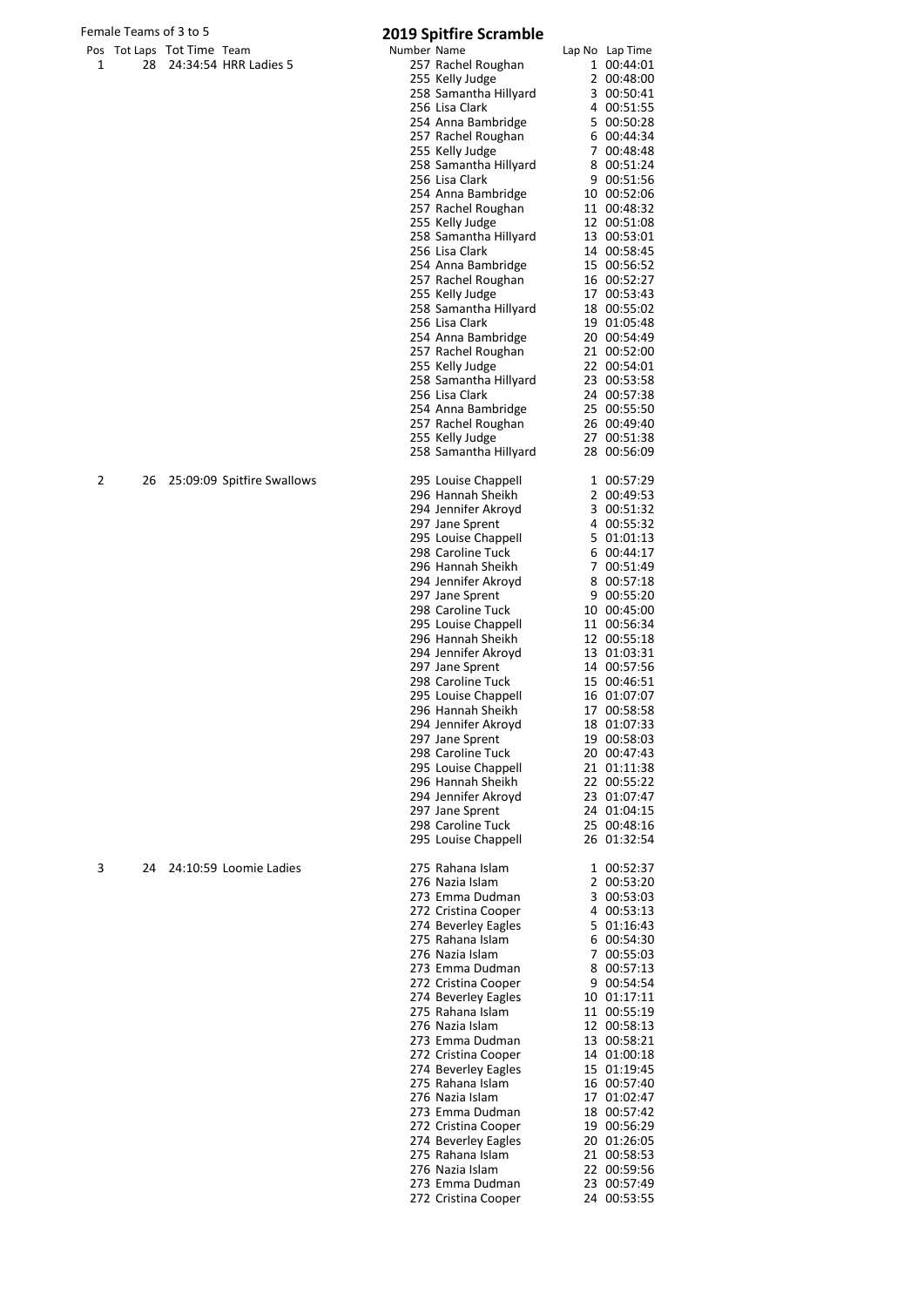## Female Teams of 3 to 5 **2019 Spitfire Scramble**

|   |    |                            |                            | Number Name | LUIJ JUINIE JUANNIE                      | Lap No Lap Time            |
|---|----|----------------------------|----------------------------|-------------|------------------------------------------|----------------------------|
| 1 | 28 | Pos Tot Laps Tot Time Team | 24:34:54 HRR Ladies 5      |             | 257 Rachel Roughan                       | 1 00:44:01                 |
|   |    |                            |                            |             | 255 Kelly Judge                          | 2 00:48:00                 |
|   |    |                            |                            |             | 258 Samantha Hillyard                    | 3 00:50:41                 |
|   |    |                            |                            |             | 256 Lisa Clark                           | 4 00:51:55                 |
|   |    |                            |                            |             | 254 Anna Bambridge                       | 5 00:50:28                 |
|   |    |                            |                            |             | 257 Rachel Roughan                       | 6 00:44:34                 |
|   |    |                            |                            |             | 255 Kelly Judge                          | 7 00:48:48                 |
|   |    |                            |                            |             | 258 Samantha Hillyard                    | 8 00:51:24                 |
|   |    |                            |                            |             | 256 Lisa Clark                           | 9 00:51:56                 |
|   |    |                            |                            |             | 254 Anna Bambridge                       | 10 00:52:06                |
|   |    |                            |                            |             | 257 Rachel Roughan                       | 11 00:48:32                |
|   |    |                            |                            |             | 255 Kelly Judge<br>258 Samantha Hillyard | 12 00:51:08<br>13 00:53:01 |
|   |    |                            |                            |             | 256 Lisa Clark                           | 14 00:58:45                |
|   |    |                            |                            |             | 254 Anna Bambridge                       | 15 00:56:52                |
|   |    |                            |                            |             | 257 Rachel Roughan                       | 16 00:52:27                |
|   |    |                            |                            |             | 255 Kelly Judge                          | 17 00:53:43                |
|   |    |                            |                            |             | 258 Samantha Hillyard                    | 18 00:55:02                |
|   |    |                            |                            |             | 256 Lisa Clark                           | 19 01:05:48                |
|   |    |                            |                            |             | 254 Anna Bambridge                       | 20 00:54:49                |
|   |    |                            |                            |             | 257 Rachel Roughan                       | 21 00:52:00                |
|   |    |                            |                            |             | 255 Kelly Judge                          | 22 00:54:01                |
|   |    |                            |                            |             | 258 Samantha Hillyard                    | 23 00:53:58                |
|   |    |                            |                            |             | 256 Lisa Clark                           | 24 00:57:38                |
|   |    |                            |                            |             | 254 Anna Bambridge                       | 25 00:55:50                |
|   |    |                            |                            |             | 257 Rachel Roughan                       | 26 00:49:40<br>27 00:51:38 |
|   |    |                            |                            |             | 255 Kelly Judge<br>258 Samantha Hillyard | 28 00:56:09                |
|   |    |                            |                            |             |                                          |                            |
| 2 | 26 |                            | 25:09:09 Spitfire Swallows |             | 295 Louise Chappell                      | 1 00:57:29                 |
|   |    |                            |                            |             | 296 Hannah Sheikh                        | 2 00:49:53                 |
|   |    |                            |                            |             | 294 Jennifer Akroyd                      | 3 00:51:32                 |
|   |    |                            |                            |             | 297 Jane Sprent                          | 4 00:55:32                 |
|   |    |                            |                            |             | 295 Louise Chappell                      | 5 01:01:13                 |
|   |    |                            |                            |             | 298 Caroline Tuck                        | 6 00:44:17                 |
|   |    |                            |                            |             | 296 Hannah Sheikh                        | 7 00:51:49                 |
|   |    |                            |                            |             | 294 Jennifer Akroyd                      | 8 00:57:18                 |
|   |    |                            |                            |             | 297 Jane Sprent                          | 9 00:55:20                 |
|   |    |                            |                            |             | 298 Caroline Tuck                        | 10 00:45:00                |
|   |    |                            |                            |             | 295 Louise Chappell                      | 11 00:56:34                |
|   |    |                            |                            |             | 296 Hannah Sheikh<br>294 Jennifer Akroyd | 12 00:55:18<br>13 01:03:31 |
|   |    |                            |                            |             | 297 Jane Sprent                          | 14 00:57:56                |
|   |    |                            |                            |             | 298 Caroline Tuck                        | 15 00:46:51                |
|   |    |                            |                            |             | 295 Louise Chappell                      | 16 01:07:07                |
|   |    |                            |                            |             | 296 Hannah Sheikh                        | 17 00:58:58                |
|   |    |                            |                            |             | 294 Jennifer Akroyd                      | 18 01:07:33                |
|   |    |                            |                            |             | 297 Jane Sprent                          | 19 00:58:03                |
|   |    |                            |                            |             | 298 Caroline Tuck                        | 20 00:47:43                |
|   |    |                            |                            |             | 295 Louise Chappell                      | 21 01:11:38                |
|   |    |                            |                            |             | 296 Hannah Sheikh                        | 22 00:55:22                |
|   |    |                            |                            |             | 294 Jennifer Akroyd                      | 23 01:07:47                |
|   |    |                            |                            |             | 297 Jane Sprent                          | 24 01:04:15                |
|   |    |                            |                            |             | 298 Caroline Tuck                        | 25 00:48:16                |
|   |    |                            |                            |             | 295 Louise Chappell                      | 26 01:32:54                |
| 3 | 24 |                            | 24:10:59 Loomie Ladies     |             | 275 Rahana Islam                         | 1 00:52:37                 |
|   |    |                            |                            |             | 276 Nazia Islam                          | 2 00:53:20                 |
|   |    |                            |                            |             | 273 Emma Dudman                          | 3 00:53:03                 |
|   |    |                            |                            |             | 272 Cristina Cooper                      | 4 00:53:13                 |
|   |    |                            |                            |             | 274 Beverley Eagles                      | 5 01:16:43                 |
|   |    |                            |                            |             | 275 Rahana Islam                         | 6 00:54:30                 |
|   |    |                            |                            |             | 276 Nazia Islam                          | 7 00:55:03                 |
|   |    |                            |                            |             | 273 Emma Dudman                          | 8 00:57:13                 |
|   |    |                            |                            |             | 272 Cristina Cooper                      | 9 00:54:54                 |
|   |    |                            |                            |             | 274 Beverley Eagles                      | 10 01:17:11                |
|   |    |                            |                            |             | 275 Rahana Islam<br>276 Nazia Islam      | 11 00:55:19<br>12 00:58:13 |
|   |    |                            |                            |             | 273 Emma Dudman                          | 13 00:58:21                |
|   |    |                            |                            |             | 272 Cristina Cooper                      | 14 01:00:18                |
|   |    |                            |                            |             | 274 Beverley Eagles                      | 15 01:19:45                |
|   |    |                            |                            |             | 275 Rahana Islam                         | 16 00:57:40                |
|   |    |                            |                            |             | 276 Nazia Islam                          | 17 01:02:47                |
|   |    |                            |                            |             | 273 Emma Dudman                          | 18 00:57:42                |
|   |    |                            |                            |             | 272 Cristina Cooper                      | 19 00:56:29                |
|   |    |                            |                            |             | 274 Beverley Eagles                      | 20 01:26:05                |
|   |    |                            |                            |             | 275 Rahana Islam                         | 21 00:58:53                |
|   |    |                            |                            |             | 276 Nazia Islam                          | 22 00:59:56                |
|   |    |                            |                            |             | 273 Emma Dudman                          | 23 00:57:49                |
|   |    |                            |                            |             | 272 Cristina Cooper                      | 24 00:53:55                |